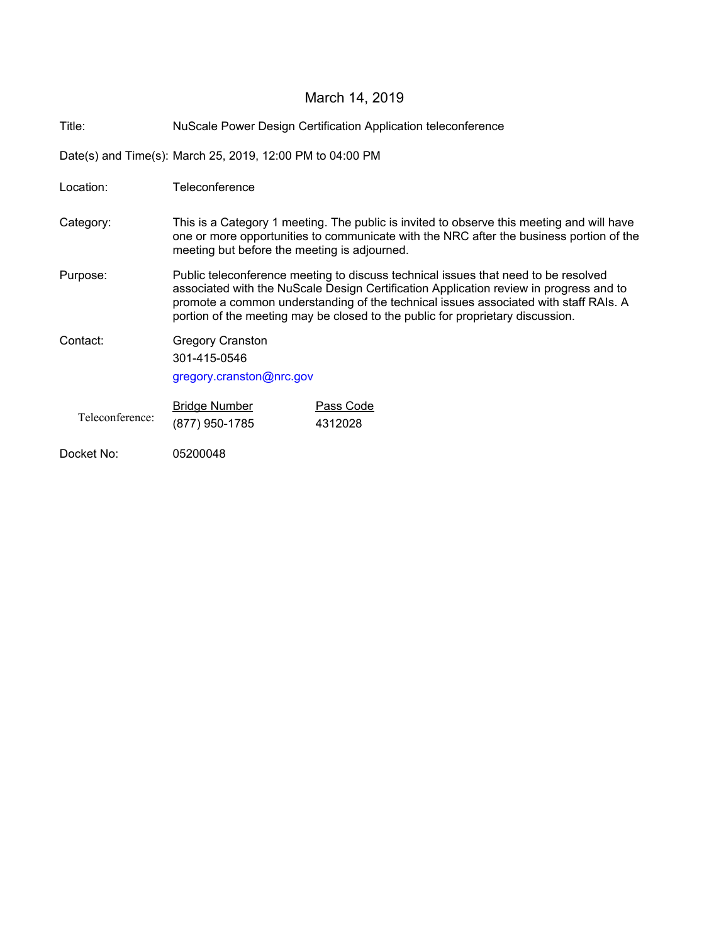# March 14, 2019

| Title:<br><b>NuScale Power Design Certification Application teleconference</b> |  |
|--------------------------------------------------------------------------------|--|
|--------------------------------------------------------------------------------|--|

Date(s) and Time(s): March 25, 2019, 12:00 PM to 04:00 PM

| Location:       | Teleconference                                                                                                                                                                                                                                                                                                                                         |                      |  |
|-----------------|--------------------------------------------------------------------------------------------------------------------------------------------------------------------------------------------------------------------------------------------------------------------------------------------------------------------------------------------------------|----------------------|--|
| Category:       | This is a Category 1 meeting. The public is invited to observe this meeting and will have<br>one or more opportunities to communicate with the NRC after the business portion of the<br>meeting but before the meeting is adjourned.                                                                                                                   |                      |  |
| Purpose:        | Public teleconference meeting to discuss technical issues that need to be resolved<br>associated with the NuScale Design Certification Application review in progress and to<br>promote a common understanding of the technical issues associated with staff RAIs. A<br>portion of the meeting may be closed to the public for proprietary discussion. |                      |  |
| Contact:        | <b>Gregory Cranston</b><br>301-415-0546<br>gregory.cranston@nrc.gov                                                                                                                                                                                                                                                                                    |                      |  |
| Teleconference: | <b>Bridge Number</b><br>(877) 950-1785                                                                                                                                                                                                                                                                                                                 | Pass Code<br>4312028 |  |
| Docket No:      | 05200048                                                                                                                                                                                                                                                                                                                                               |                      |  |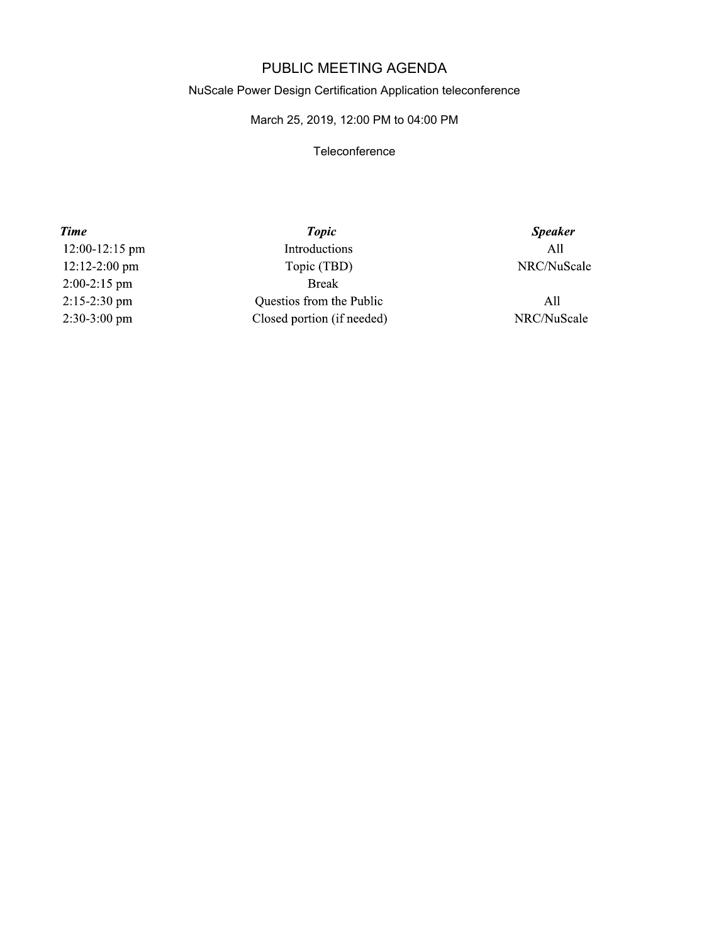## PUBLIC MEETING AGENDA

#### NuScale Power Design Certification Application teleconference

### March 25, 2019, 12:00 PM to 04:00 PM

### **Teleconference**

**Time** 12:00-12:15 pm 12:12-2:00 pm  $2:00-2:15$  pm 2:15-2:30 pm 2:30-3:00 pm

**Topic** Introductions Topic (TBD) **Break** Questios from the Public Closed portion (if needed)

**Speaker**  $All$ NRC/NuScale

 $All$ NRC/NuScale